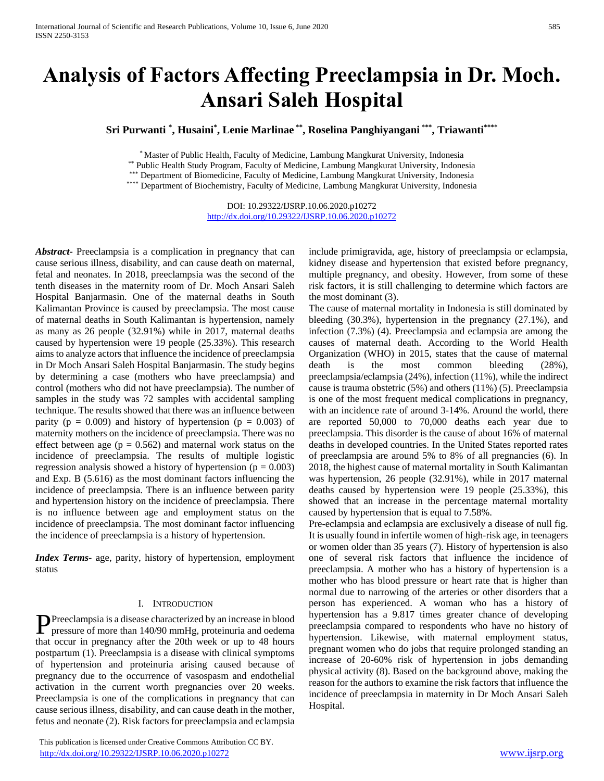# **Analysis of Factors Affecting Preeclampsia in Dr. Moch. Ansari Saleh Hospital**

**Sri Purwanti \* , Husaini\* , Lenie Marlinae \*\* , Roselina Panghiyangani \*\*\* , Triawanti\*\*\*\***

\* Master of Public Health, Faculty of Medicine, Lambung Mangkurat University, Indonesia

\*\* Public Health Study Program, Faculty of Medicine, Lambung Mangkurat University, Indonesia

\*\*\* Department of Biomedicine, Faculty of Medicine, Lambung Mangkurat University, Indonesia

\*\*\*\* Department of Biochemistry, Faculty of Medicine, Lambung Mangkurat University, Indonesia

DOI: 10.29322/IJSRP.10.06.2020.p10272 <http://dx.doi.org/10.29322/IJSRP.10.06.2020.p10272>

*Abstract***-** Preeclampsia is a complication in pregnancy that can cause serious illness, disability, and can cause death on maternal, fetal and neonates. In 2018, preeclampsia was the second of the tenth diseases in the maternity room of Dr. Moch Ansari Saleh Hospital Banjarmasin. One of the maternal deaths in South Kalimantan Province is caused by preeclampsia. The most cause of maternal deaths in South Kalimantan is hypertension, namely as many as 26 people (32.91%) while in 2017, maternal deaths caused by hypertension were 19 people (25.33%). This research aims to analyze actors that influence the incidence of preeclampsia in Dr Moch Ansari Saleh Hospital Banjarmasin. The study begins by determining a case (mothers who have preeclampsia) and control (mothers who did not have preeclampsia). The number of samples in the study was 72 samples with accidental sampling technique. The results showed that there was an influence between parity ( $p = 0.009$ ) and history of hypertension ( $p = 0.003$ ) of maternity mothers on the incidence of preeclampsia. There was no effect between age ( $p = 0.562$ ) and maternal work status on the incidence of preeclampsia. The results of multiple logistic regression analysis showed a history of hypertension ( $p = 0.003$ ) and Exp. B (5.616) as the most dominant factors influencing the incidence of preeclampsia. There is an influence between parity and hypertension history on the incidence of preeclampsia. There is no influence between age and employment status on the incidence of preeclampsia. The most dominant factor influencing the incidence of preeclampsia is a history of hypertension.

*Index Terms*- age, parity, history of hypertension, employment status

#### I. INTRODUCTION

Preeclampsia is a disease characterized by an increase in blood<br>pressure of more than 140/90 mmHg, proteinuria and oedema pressure of more than 140/90 mmHg, proteinuria and oedema that occur in pregnancy after the 20th week or up to 48 hours postpartum (1). Preeclampsia is a disease with clinical symptoms of hypertension and proteinuria arising caused because of pregnancy due to the occurrence of vasospasm and endothelial activation in the current worth pregnancies over 20 weeks. Preeclampsia is one of the complications in pregnancy that can cause serious illness, disability, and can cause death in the mother, fetus and neonate (2). Risk factors for preeclampsia and eclampsia

 This publication is licensed under Creative Commons Attribution CC BY. <http://dx.doi.org/10.29322/IJSRP.10.06.2020.p10272> [www.ijsrp.org](http://ijsrp.org/)

include primigravida, age, history of preeclampsia or eclampsia, kidney disease and hypertension that existed before pregnancy, multiple pregnancy, and obesity. However, from some of these risk factors, it is still challenging to determine which factors are the most dominant (3).

The cause of maternal mortality in Indonesia is still dominated by bleeding (30.3%), hypertension in the pregnancy (27.1%), and infection (7.3%) (4). Preeclampsia and eclampsia are among the causes of maternal death. According to the World Health Organization (WHO) in 2015, states that the cause of maternal death is the most common bleeding (28%), preeclampsia/eclampsia (24%), infection (11%), while the indirect cause is trauma obstetric (5%) and others (11%) (5). Preeclampsia is one of the most frequent medical complications in pregnancy, with an incidence rate of around 3-14%. Around the world, there are reported 50,000 to 70,000 deaths each year due to preeclampsia. This disorder is the cause of about 16% of maternal deaths in developed countries. In the United States reported rates of preeclampsia are around 5% to 8% of all pregnancies (6). In 2018, the highest cause of maternal mortality in South Kalimantan was hypertension, 26 people (32.91%), while in 2017 maternal deaths caused by hypertension were 19 people (25.33%), this showed that an increase in the percentage maternal mortality caused by hypertension that is equal to 7.58%.

Pre-eclampsia and eclampsia are exclusively a disease of null fig. It is usually found in infertile women of high-risk age, in teenagers or women older than 35 years (7). History of hypertension is also one of several risk factors that influence the incidence of preeclampsia. A mother who has a history of hypertension is a mother who has blood pressure or heart rate that is higher than normal due to narrowing of the arteries or other disorders that a person has experienced. A woman who has a history of hypertension has a 9.817 times greater chance of developing preeclampsia compared to respondents who have no history of hypertension. Likewise, with maternal employment status, pregnant women who do jobs that require prolonged standing an increase of 20-60% risk of hypertension in jobs demanding physical activity (8). Based on the background above, making the reason for the authors to examine the risk factors that influence the incidence of preeclampsia in maternity in Dr Moch Ansari Saleh Hospital.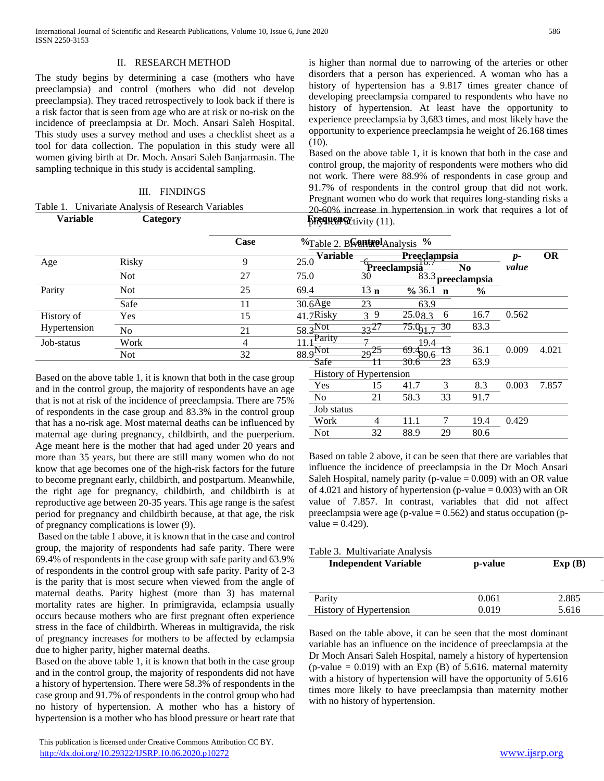## II. RESEARCH METHOD

The study begins by determining a case (mothers who have preeclampsia) and control (mothers who did not develop preeclampsia). They traced retrospectively to look back if there is a risk factor that is seen from age who are at risk or no-risk on the incidence of preeclampsia at Dr. Moch. Ansari Saleh Hospital. This study uses a survey method and uses a checklist sheet as a tool for data collection. The population in this study were all women giving birth at Dr. Moch. Ansari Saleh Banjarmasin. The sampling technique in this study is accidental sampling.

## III. FINDINGS

## Table 1. Univariate Analysis of Research Variables

is higher than normal due to narrowing of the arteries or other disorders that a person has experienced. A woman who has a history of hypertension has a 9.817 times greater chance of developing preeclampsia compared to respondents who have no history of hypertension. At least have the opportunity to experience preeclampsia by 3,683 times, and most likely have the opportunity to experience preeclampsia he weight of 26.168 times  $(10).$ 

**Variable Category FREQUENCY FOR EXECUTE ACTIVITY**  $\left(11\right)$ . Based on the above table 1, it is known that both in the case and control group, the majority of respondents were mothers who did not work. There were 88.9% of respondents in case group and 91.7% of respondents in the control group that did not work. Pregnant women who do work that requires long-standing risks a 20-60% increase in hypertension in work that requires a lot of

|              |                | Case | $\%$ Table 2. B $\%$ Analysis $\%$ |                 |                                                     |               |               |           |
|--------------|----------------|------|------------------------------------|-----------------|-----------------------------------------------------|---------------|---------------|-----------|
| Age          | <b>Risky</b>   | Q    | $\frac{1}{25.0}$ Variable          |                 | <b>Preeclampsia</b><br>Preeclampsia <sup>10.7</sup> | No.           | $p-$<br>value | <b>OR</b> |
|              | <b>Not</b>     | 27   | 75.0                               | 30              | 83.3                                                | preeclampsia  |               |           |
| Parity       | <b>Not</b>     | 25   | 69.4                               | 13 <sub>n</sub> | $\frac{6}{9}$ 36.1<br>$\mathbf n$                   | $\frac{6}{9}$ |               |           |
|              | Safe           | 11   | $30.6$ Age                         | 23              | 63.9                                                |               |               |           |
| History of   | Yes            | 15   | $41.7$ Risky                       | 39              | 25.08.3<br>-6                                       | 16.7          | 0.562         |           |
| Hypertension | N <sub>o</sub> | 21   | $58.3$ Not                         | $33^{21}$       | $\frac{75.0}{91.7}$ 30                              | 83.3          |               |           |
| Job-status   | Work           | 4    | $\overline{11.4}$ Parity           | $\mathbf{r}$    | 19.4                                                |               |               |           |
|              | <b>Not</b>     | 32   | $88.9$ Not<br>Safe                 | $29^{25}$       | 13<br>$-69.480.6$<br>30.6<br>23                     | 36.1<br>63.9  | 0.009         | 4.021     |

Based on the above table 1, it is known that both in the case group and in the control group, the majority of respondents have an age that is not at risk of the incidence of preeclampsia. There are 75% of respondents in the case group and 83.3% in the control group that has a no-risk age. Most maternal deaths can be influenced by maternal age during pregnancy, childbirth, and the puerperium. Age meant here is the mother that had aged under 20 years and more than 35 years, but there are still many women who do not know that age becomes one of the high-risk factors for the future to become pregnant early, childbirth, and postpartum. Meanwhile, the right age for pregnancy, childbirth, and childbirth is at reproductive age between 20-35 years. This age range is the safest period for pregnancy and childbirth because, at that age, the risk of pregnancy complications is lower (9).

Based on the table 1 above, it is known that in the case and control group, the majority of respondents had safe parity. There were 69.4% of respondents in the case group with safe parity and 63.9% of respondents in the control group with safe parity. Parity of 2-3 is the parity that is most secure when viewed from the angle of maternal deaths. Parity highest (more than 3) has maternal mortality rates are higher. In primigravida, eclampsia usually occurs because mothers who are first pregnant often experience stress in the face of childbirth. Whereas in multigravida, the risk of pregnancy increases for mothers to be affected by eclampsia due to higher parity, higher maternal deaths.

Based on the above table 1, it is known that both in the case group and in the control group, the majority of respondents did not have a history of hypertension. There were 58.3% of respondents in the case group and 91.7% of respondents in the control group who had no history of hypertension. A mother who has a history of hypertension is a mother who has blood pressure or heart rate that

| . T<br>$.9$ Not         | 29 | エフ・サ | t3 | 36.1 | 0.009 | 4.021 |
|-------------------------|----|------|----|------|-------|-------|
| Safe                    |    | ᡂᠣ   | 23 | 63.9 |       |       |
| History of Hypertension |    |      |    |      |       |       |
| Yes                     | 15 | 41.7 | 3  | 8.3  | 0.003 | 7.857 |
| N <sub>o</sub>          | 21 | 58.3 | 33 | 91.7 |       |       |
| Job status              |    |      |    |      |       |       |
| Work                    |    | 11.1 |    | 19.4 | 0.429 |       |
| Not                     | 32 | 88.9 | 29 | 80.6 |       |       |
|                         |    |      |    |      |       |       |

Based on table 2 above, it can be seen that there are variables that influence the incidence of preeclampsia in the Dr Moch Ansari Saleh Hospital, namely parity (p-value  $= 0.009$ ) with an OR value of 4.021 and history of hypertension (p-value  $= 0.003$ ) with an OR value of 7.857. In contrast, variables that did not affect preeclampsia were age (p-value  $= 0.562$ ) and status occupation (p $value = 0.429$ .

|  | Table 3. Multivariate Analysis |
|--|--------------------------------|
|--|--------------------------------|

| <b>Independent Variable</b> | p-value | Exp(B) |
|-----------------------------|---------|--------|
| Parity                      | 0.061   | 2.885  |
| History of Hypertension     | 0.019   | 5.616  |

Based on the table above, it can be seen that the most dominant variable has an influence on the incidence of preeclampsia at the Dr Moch Ansari Saleh Hospital, namely a history of hypertension (p-value  $= 0.019$ ) with an Exp (B) of 5.616. maternal maternity with a history of hypertension will have the opportunity of 5.616 times more likely to have preeclampsia than maternity mother with no history of hypertension.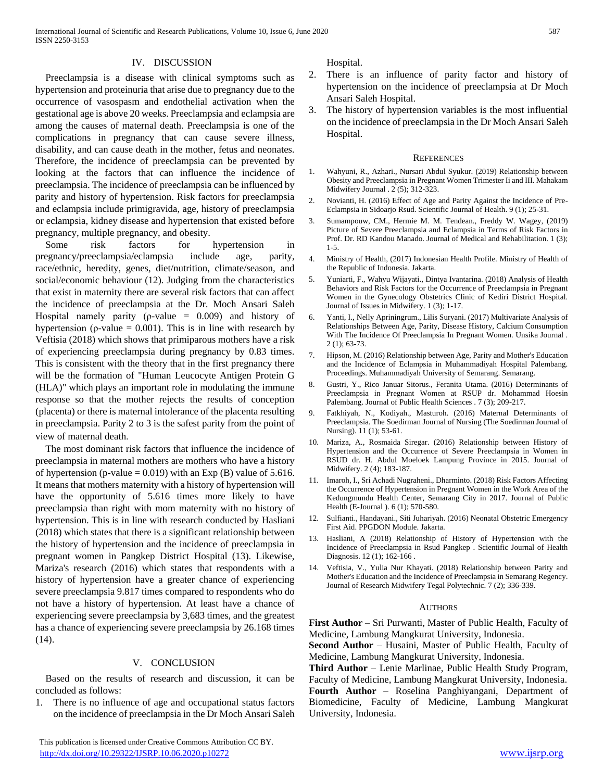# IV. DISCUSSION

Preeclampsia is a disease with clinical symptoms such as hypertension and proteinuria that arise due to pregnancy due to the occurrence of vasospasm and endothelial activation when the gestational age is above 20 weeks. Preeclampsia and eclampsia are among the causes of maternal death. Preeclampsia is one of the complications in pregnancy that can cause severe illness, disability, and can cause death in the mother, fetus and neonates. Therefore, the incidence of preeclampsia can be prevented by looking at the factors that can influence the incidence of preeclampsia. The incidence of preeclampsia can be influenced by parity and history of hypertension. Risk factors for preeclampsia and eclampsia include primigravida, age, history of preeclampsia or eclampsia, kidney disease and hypertension that existed before pregnancy, multiple pregnancy, and obesity.

Some risk factors for hypertension in pregnancy/preeclampsia/eclampsia include age, parity, race/ethnic, heredity, genes, diet/nutrition, climate/season, and social/economic behaviour (12). Judging from the characteristics that exist in maternity there are several risk factors that can affect the incidence of preeclampsia at the Dr. Moch Ansari Saleh Hospital namely parity ( $\rho$ -value = 0.009) and history of hypertension ( $\rho$ -value = 0.001). This is in line with research by Veftisia (2018) which shows that primiparous mothers have a risk of experiencing preeclampsia during pregnancy by 0.83 times. This is consistent with the theory that in the first pregnancy there will be the formation of "Human Leucocyte Antigen Protein G (HLA)" which plays an important role in modulating the immune response so that the mother rejects the results of conception (placenta) or there is maternal intolerance of the placenta resulting in preeclampsia. Parity 2 to 3 is the safest parity from the point of view of maternal death.

The most dominant risk factors that influence the incidence of preeclampsia in maternal mothers are mothers who have a history of hypertension (p-value  $= 0.019$ ) with an Exp (B) value of 5.616. It means that mothers maternity with a history of hypertension will have the opportunity of 5.616 times more likely to have preeclampsia than right with mom maternity with no history of hypertension. This is in line with research conducted by Hasliani (2018) which states that there is a significant relationship between the history of hypertension and the incidence of preeclampsia in pregnant women in Pangkep District Hospital (13). Likewise, Mariza's research (2016) which states that respondents with a history of hypertension have a greater chance of experiencing severe preeclampsia 9.817 times compared to respondents who do not have a history of hypertension. At least have a chance of experiencing severe preeclampsia by 3,683 times, and the greatest has a chance of experiencing severe preeclampsia by 26.168 times (14).

# V. CONCLUSION

Based on the results of research and discussion, it can be concluded as follows:

1. There is no influence of age and occupational status factors on the incidence of preeclampsia in the Dr Moch Ansari Saleh Hospital.

- 2. There is an influence of parity factor and history of hypertension on the incidence of preeclampsia at Dr Moch Ansari Saleh Hospital.
- 3. The history of hypertension variables is the most influential on the incidence of preeclampsia in the Dr Moch Ansari Saleh Hospital.

#### **REFERENCES**

- 1. Wahyuni, R., Azhari., Nursari Abdul Syukur. (2019) Relationship between Obesity and Preeclampsia in Pregnant Women Trimester Ii and III. Mahakam Midwifery Journal . 2 (5); 312-323.
- 2. Novianti, H. (2016) Effect of Age and Parity Against the Incidence of Pre-Eclampsia in Sidoarjo Rsud. Scientific Journal of Health. 9 (1); 25-31.
- 3. Sumampouw, CM., Hermie M. M. Tendean., Freddy W. Wagey, (2019) Picture of Severe Preeclampsia and Eclampsia in Terms of Risk Factors in Prof. Dr. RD Kandou Manado. Journal of Medical and Rehabilitation. 1 (3); 1-5.
- 4. Ministry of Health, (2017) Indonesian Health Profile. Ministry of Health of the Republic of Indonesia. Jakarta.
- 5. Yuniarti, F., Wahyu Wijayati., Dintya Ivantarina. (2018) Analysis of Health Behaviors and Risk Factors for the Occurrence of Preeclampsia in Pregnant Women in the Gynecology Obstetrics Clinic of Kediri District Hospital. Journal of Issues in Midwifery. 1 (3); 1-17.
- 6. Yanti, I., Nelly Apriningrum., Lilis Suryani. (2017) Multivariate Analysis of Relationships Between Age, Parity, Disease History, Calcium Consumption With The Incidence Of Preeclampsia In Pregnant Women. Unsika Journal . 2 (1); 63-73.
- 7. Hipson, M. (2016) Relationship between Age, Parity and Mother's Education and the Incidence of Eclampsia in Muhammadiyah Hospital Palembang. Proceedings. Muhammadiyah University of Semarang. Semarang.
- 8. Gustri, Y., Rico Januar Sitorus., Feranita Utama. (2016) Determinants of Preeclampsia in Pregnant Women at RSUP dr. Mohammad Hoesin Palembang. Journal of Public Health Sciences . 7 (3); 209-217.
- 9. Fatkhiyah, N., Kodiyah., Masturoh. (2016) Maternal Determinants of Preeclampsia. The Soedirman Journal of Nursing (The Soedirman Journal of Nursing). 11 (1); 53-61.
- 10. Mariza, A., Rosmaida Siregar. (2016) Relationship between History of Hypertension and the Occurrence of Severe Preeclampsia in Women in RSUD dr. H. Abdul Moeloek Lampung Province in 2015. Journal of Midwifery. 2 (4); 183-187.
- 11. Imaroh, I., Sri Achadi Nugraheni., Dharminto. (2018) Risk Factors Affecting the Occurrence of Hypertension in Pregnant Women in the Work Area of the Kedungmundu Health Center, Semarang City in 2017. Journal of Public Health (E-Journal ). 6 (1); 570-580.
- 12. Sulfianti., Handayani., Siti Juhariyah. (2016) Neonatal Obstetric Emergency First Aid. PPGDON Module. Jakarta.
- 13. Hasliani, A (2018) Relationship of History of Hypertension with the Incidence of Preeclampsia in Rsud Pangkep . Scientific Journal of Health Diagnosis. 12 (1); 162-166 .
- 14. Veftisia, V., Yulia Nur Khayati. (2018) Relationship between Parity and Mother's Education and the Incidence of Preeclampsia in Semarang Regency. Journal of Research Midwifery Tegal Polytechnic. 7 (2); 336-339.

#### AUTHORS

**First Author** – Sri Purwanti, Master of Public Health, Faculty of Medicine, Lambung Mangkurat University, Indonesia.

**Second Author** – Husaini, Master of Public Health, Faculty of Medicine, Lambung Mangkurat University, Indonesia.

**Third Author** – Lenie Marlinae, Public Health Study Program, Faculty of Medicine, Lambung Mangkurat University, Indonesia. **Fourth Author** – Roselina Panghiyangani, Department of Biomedicine, Faculty of Medicine, Lambung Mangkurat University, Indonesia.